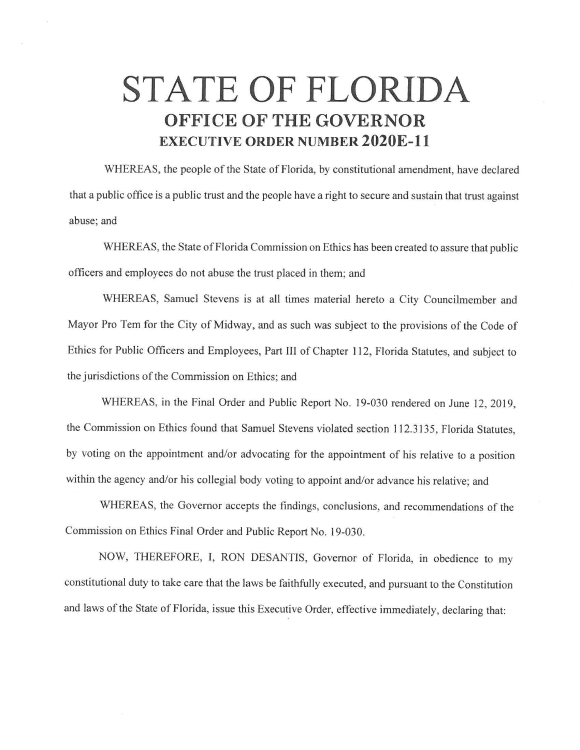## **STATE OF FLORIDA OFFICE OF THE GOVERNOR EXECUTIVE ORDER NUMBER 2020E-11**

WHEREAS, the people of the State of Florida, by constitutional amendment, have declared that a public office is a public trust and the people have a right to secure and sustain that trust against abuse; and

WHEREAS, the State of Florida Commission on Ethics has been created to assure that public officers and employees do not abuse the trust placed in them; and

WHEREAS, Samuel Stevens is at all times material hereto a City Councilmember and Mayor Pro Tem for the City of Midway, and as such was subject to the provisions of the Code of Ethics for Public Officers and Employees, Part III of Chapter 112, Florida Statutes, and subject to the jurisdictions of the Commission on Ethics; and

WHEREAS, in the Final Order and Public Report No. 19-030 rendered on June 12, 2019, the Commission on Ethics found that Samuel Stevens violated section 112.3135, Florida Statutes, by voting on the appointment and/or advocating for the appointment of his relative to a position within the agency and/or his collegial body voting to appoint and/or advance his relative; and

WHEREAS, the Governor accepts the findings, conclusions, and recommendations of the Commission on Ethics Final Order and Public Report No. 19-030.

NOW, THEREFORE, I, RON DESANTIS, Governor of Florida, in obedience to my constitutional duty to take care that the laws be faithfully executed, and pursuant to the Constitution and laws of the State of Florida, issue this Executive Order, effective immediately, declaring that: